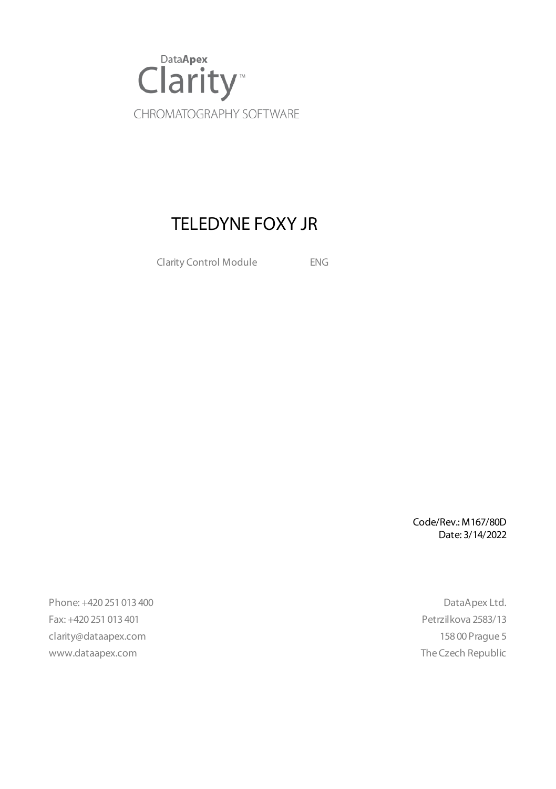

## TELEDYNE FOXY JR

Clarity Control Module ENG

Code/Rev.: M167/80D Date: 3/14/2022

Phone: +420 251 013 400 DataApex Ltd. Fax: +420 251 013 401 Petrzilkova 2583/13 clarity@dataapex.com 158 00 Prague 5 www.dataapex.com **The Czech Republic** Republic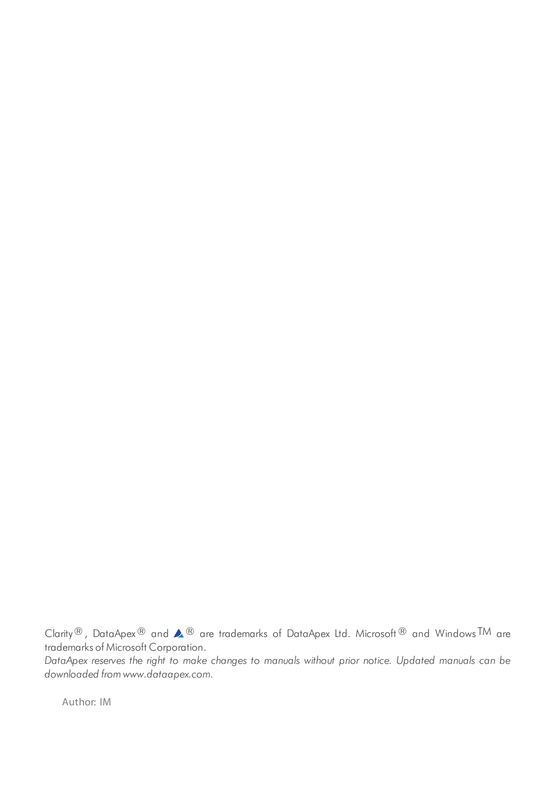Clarity®, DataApex® and  $\triangle$ <sup>®</sup> are trademarks of DataApex Ltd. Microsoft® and Windows TM are trademarks of Microsoft Corporation.

*DataApex reserves the right to make changes to manuals without prior notice. Updated manuals can be downloaded from www.dataapex.com.*

Author: IM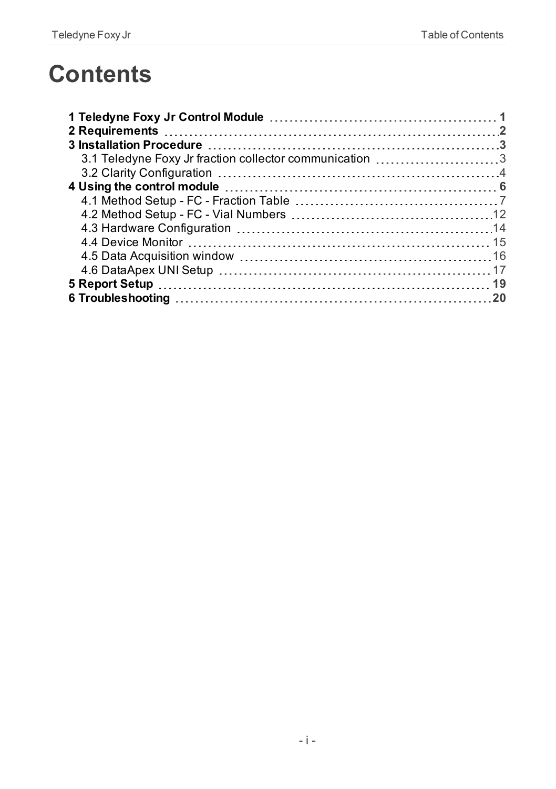## **Contents**

| 3.1 Teledyne Foxy Jr fraction collector communication 3 |  |
|---------------------------------------------------------|--|
|                                                         |  |
|                                                         |  |
|                                                         |  |
|                                                         |  |
|                                                         |  |
|                                                         |  |
|                                                         |  |
|                                                         |  |
|                                                         |  |
|                                                         |  |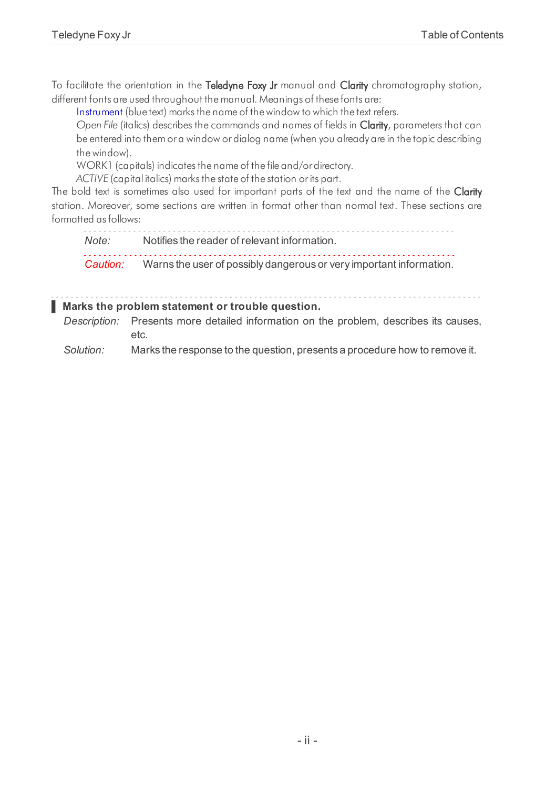To facilitate the orientation in the Teledyne Foxy Jr manual and Clarity chromatography station, different fonts are used throughout the manual. Meanings of these fonts are:

[Instrument](ms-its:Clarity.chm::/Help/020-instrument/020.000-instrument/020-instrument.htm) (blue text) marks the name of the window to which the text refers.

*Open File* (italics) describes the commands and names of fields in Clarity, parameters that can be entered into them or a window or dialog name (when you already are in the topic describing thewindow).

WORK1 (capitals) indicates the name of the file and/or directory.

*ACTIVE* (capital italics) marks the state of the station or its part.

The bold text is sometimes also used for important parts of the text and the name of the Clarity station. Moreover, some sections are written in format other than normal text. These sections are formatted asfollows:

*Note:* Notifies the reader of relevant information. *Caution:* Warns the user of possibly dangerous or very important information.

#### **▌ Marks the problem statement or trouble question.**

*Description:* Presents more detailed information on the problem, describes its causes, etc.

*Solution:* Marks the response to the question, presents a procedure how to remove it.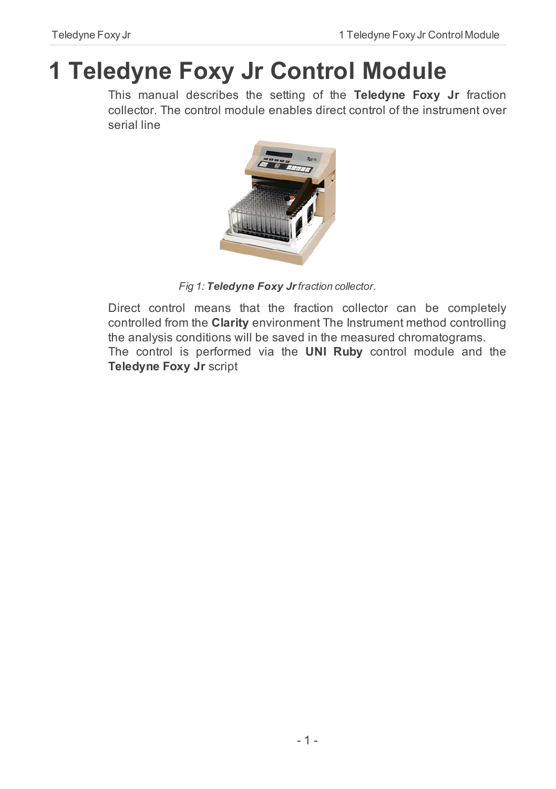# <span id="page-4-0"></span>**1 Teledyne Foxy Jr Control Module**

This manual describes the setting of the **Teledyne Foxy Jr** fraction collector. The control module enables direct control of the instrument over serial line



*Fig 1: Teledyne Foxy Jrfraction collector.*

Direct control means that the fraction collector can be completely controlled from the **Clarity** environment The Instrument method controlling the analysis conditions will be saved in the measured chromatograms. The control is performed via the **UNI Ruby** control module and the **Teledyne Foxy Jr** script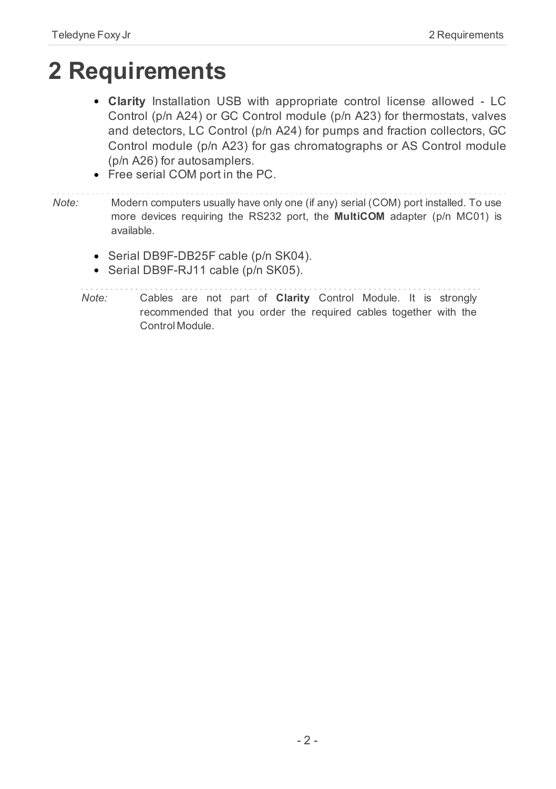## <span id="page-5-0"></span>**2 Requirements**

- **Clarity** Installation USB with appropriate control license allowed LC Control (p/n A24) or GC Control module (p/n A23) for thermostats, valves and detectors, LC Control (p/n A24) for pumps and fraction collectors, GC Control module (p/n A23) for gas chromatographs or AS Control module (p/n A26) for autosamplers.
- Free serial COM port in the PC.
- *Note:* Modern computers usually have only one (if any) serial (COM) port installed. To use more devices requiring the RS232 port, the **MultiCOM** adapter (p/n MC01) is available.
	- Serial DB9F-DB25F cable (p/n SK04).
	- Serial DB9F-RJ11 cable (p/n SK05).

*Note:* Cables are not part of **Clarity** Control Module. It is strongly recommended that you order the required cables together with the Control Module.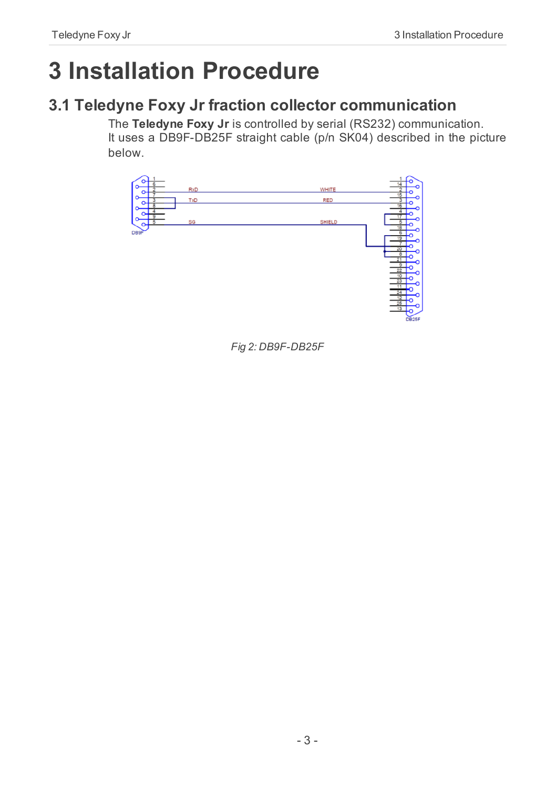# <span id="page-6-0"></span>**3 Installation Procedure**

## <span id="page-6-1"></span>**3.1 Teledyne Foxy Jr fraction collector communication**

The **Teledyne Foxy Jr** is controlled by serial (RS232) communication. It uses a DB9F-DB25F straight cable (p/n SK04) described in the picture below.



*Fig 2: DB9F-DB25F*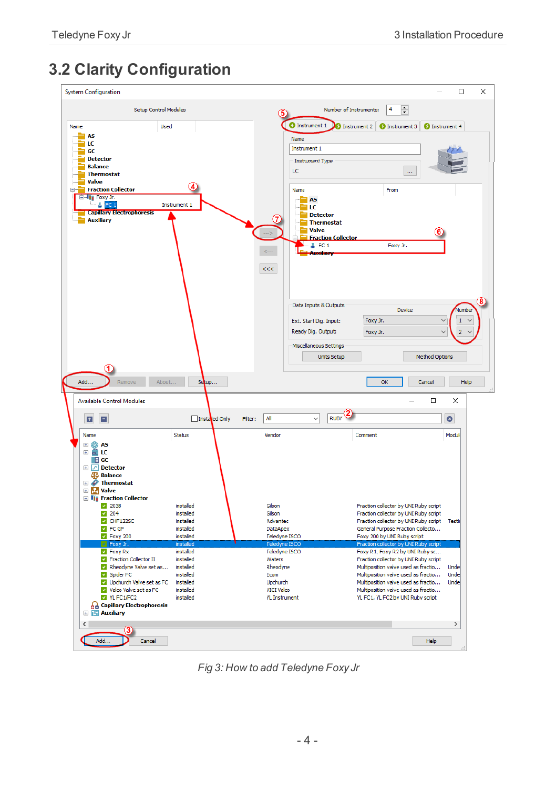## <span id="page-7-0"></span>**3.2 Clarity Configuration**

| <b>System Configuration</b>                                                                                                                                                                                        |                                                                                         |                                                                                               |                                                                                                                                                                                                                                                                           |                       | $\Box$               | $\times$ |
|--------------------------------------------------------------------------------------------------------------------------------------------------------------------------------------------------------------------|-----------------------------------------------------------------------------------------|-----------------------------------------------------------------------------------------------|---------------------------------------------------------------------------------------------------------------------------------------------------------------------------------------------------------------------------------------------------------------------------|-----------------------|----------------------|----------|
| Setup Control Modules                                                                                                                                                                                              |                                                                                         |                                                                                               | 4<br>$\div$<br>Number of Instruments:                                                                                                                                                                                                                                     |                       |                      |          |
| Name<br>Used                                                                                                                                                                                                       |                                                                                         | <b>O</b> Instrument 1                                                                         | C Instrument 2 C Instrument 3 C Instrument 4                                                                                                                                                                                                                              |                       |                      |          |
| <b>AS</b><br>LC<br>GC<br><b>Detector</b><br><b>Balance</b><br><b>Thermostat</b>                                                                                                                                    |                                                                                         | Name<br>Instrument 1<br>Instrument Type<br>LC                                                 | $\ldots$                                                                                                                                                                                                                                                                  |                       |                      |          |
| Valve<br><b>Fraction Collector</b>                                                                                                                                                                                 | (4)                                                                                     | Name                                                                                          | From                                                                                                                                                                                                                                                                      |                       |                      |          |
| E-lij Foxy Jr.<br><b>A</b> FC 1<br><b>Capillary Electrophoresis</b><br><b>Auxiliary</b>                                                                                                                            | Instrument 1                                                                            | <b>TAS</b><br>LC<br>Valve<br>$-5$ FC 1                                                        | <b>Detector</b><br><b>Thermostat</b><br><b>Fraction Collector</b><br>Foxy Jr.                                                                                                                                                                                             |                       |                      |          |
|                                                                                                                                                                                                                    |                                                                                         | $<<$                                                                                          | Data Inputs & Outputs<br>Device                                                                                                                                                                                                                                           |                       | Numbe                | 8.       |
|                                                                                                                                                                                                                    |                                                                                         | Ext. Start Dig. Input:                                                                        | Foxy Jr.                                                                                                                                                                                                                                                                  | $\ddot{ }$            | 1                    |          |
|                                                                                                                                                                                                                    |                                                                                         | Ready Dig. Output:<br>Miscellaneous Settings                                                  | Foxy Jr.                                                                                                                                                                                                                                                                  |                       | $\overline{2}$       |          |
|                                                                                                                                                                                                                    |                                                                                         |                                                                                               | <b>Units Setup</b>                                                                                                                                                                                                                                                        | <b>Method Options</b> |                      |          |
| Add<br>About<br>Remove                                                                                                                                                                                             | Setup                                                                                   |                                                                                               | OK                                                                                                                                                                                                                                                                        | Cancel                | Help                 |          |
| <b>Available Control Modules</b>                                                                                                                                                                                   |                                                                                         |                                                                                               |                                                                                                                                                                                                                                                                           | $\Box$                | ×                    |          |
| B<br>E                                                                                                                                                                                                             | Installed Only                                                                          | All<br>Filter:                                                                                | <b>RUBY</b>                                                                                                                                                                                                                                                               |                       | $\bullet$            |          |
| Name                                                                                                                                                                                                               | <b>Status</b>                                                                           | Vendor                                                                                        | Comment                                                                                                                                                                                                                                                                   |                       | Modul                |          |
| ⊞ ©∂ AS<br>⊞ËLC<br>$\blacksquare$ GC<br><b>E</b> Petector<br><b>SO Balance</b><br><b>E</b> <i>P</i> Thermostat<br><b>E My Valve</b><br><b>Fig. Fraction Collector</b>                                              |                                                                                         |                                                                                               |                                                                                                                                                                                                                                                                           |                       |                      |          |
| 203B<br>204                                                                                                                                                                                                        | installed<br>installed                                                                  | Gilson<br>Gilson                                                                              | Fraction collector by UNI Ruby script<br>Fraction collector by UNI Ruby script                                                                                                                                                                                            |                       |                      |          |
| CHF122SC<br><b>PEC GP</b>                                                                                                                                                                                          | installed<br>installed                                                                  | Advantec<br><b>DataApex</b>                                                                   | Fraction collector by UNI Ruby script<br>General Purpose Fraction Collecto                                                                                                                                                                                                |                       | Testi                |          |
| P Foxy 200                                                                                                                                                                                                         | installed<br>installed                                                                  | <b>Teledyne ISCO</b><br>Teledyne ISCO                                                         | Foxy 200 by UNI Ruby script<br>Fraction collector by UNI Ruby script                                                                                                                                                                                                      |                       |                      |          |
| Foxy Jr<br><b>Z</b> Foxy Rx<br>Fraction Collector II<br>Rheodyne Valve set as<br>Spider FC<br>Upchurch Valve set as FC<br>Valco Valve set as FC<br>YL FC1/FC2<br><b>Capillary Electrophoresis</b><br>田 出 Auxiliary | installed<br>installed<br>installed<br>installed<br>installed<br>installed<br>installed | Teledyne ISCO<br>Waters<br>Rheodyne<br>Ecom<br>Upchurch<br><b>VICI Valco</b><br>YL Instrument | Foxy R1, Foxy R2 by UNI Ruby sc<br>Fraction collector by UNI Ruby script<br>Multiposition valve used as fractio<br>Multiposition valve used as fractio<br>Multiposition valve used as fractio<br>Multiposition valve used as fractio<br>YL FC1, YL FC2 by UNI Ruby script |                       | Unde<br>Unde<br>Unde |          |
| $\left\langle \right\rangle$                                                                                                                                                                                       |                                                                                         |                                                                                               |                                                                                                                                                                                                                                                                           |                       | $\,$                 |          |
| Add<br>Cancel                                                                                                                                                                                                      |                                                                                         |                                                                                               |                                                                                                                                                                                                                                                                           | Help                  |                      |          |

<span id="page-7-1"></span>*Fig 3: How to add Teledyne Foxy Jr*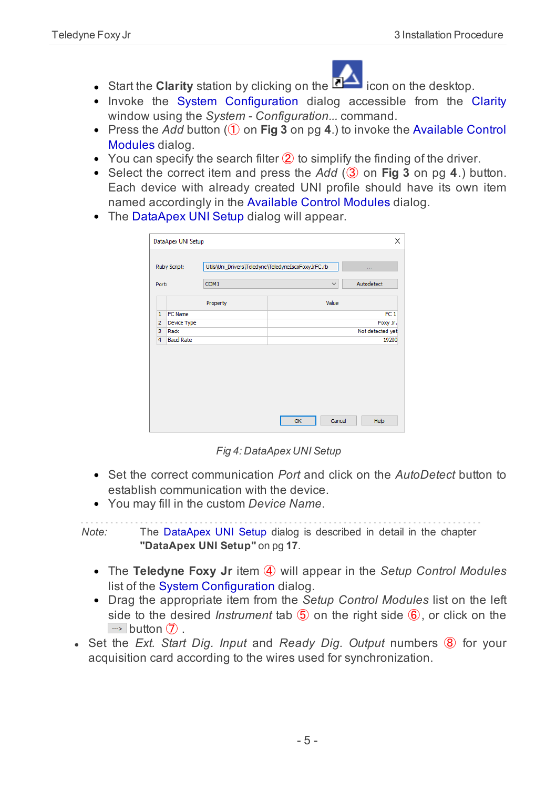

- **Start the Clarity** station by clicking on the **integral on the desktop.**
- Invoke the System Configuration dialog accessible from the [Clarity](ms-its:Clarity.chm::/Help/010-clarity/010.000-clarity/010-clarity.htm) window using the *System - Configuration...* command.
- Press the *Add* button (① on **[Fig](#page-7-1) 3** on pg **4**.) to invoke the [Available](ms-its:Clarity.chm::/Help/010-clarity/010.010-system/010.010-system-configuration-left.htm) Control [Modules](ms-its:Clarity.chm::/Help/010-clarity/010.010-system/010.010-system-configuration-left.htm) dialog.
- You can specify the search filter  $(2)$  to simplify the finding of the driver.
- Select the correct item and press the *Add* (③ on **[Fig](#page-7-1) 3** on pg **4**.) button. Each device with already created UNI profile should have its own item named accordingly in the [Available](ms-its:Clarity.chm::/Help/010-clarity/010.010-system/010.010-system-configuration-left.htm) Control Modules dialog.
- The [DataApex](#page-20-0) UNI Setup dialog will appear.

|                | Ruby Script:     | Utils\Uni_Drivers\Teledyne\TeledyneIscoFoxyJrFC.rb |              | $\sim$ 1.4       |
|----------------|------------------|----------------------------------------------------|--------------|------------------|
| Port:          |                  | COM1                                               | $\checkmark$ | Autodetect       |
|                |                  | Property                                           | Value        |                  |
| $\mathbf{1}$   | <b>FC Name</b>   |                                                    |              | FC <sub>1</sub>  |
| $\overline{2}$ | Device Type      |                                                    |              | Foxy Jr.         |
| 3              | Rack             |                                                    |              | Not detected yet |
| 4              | <b>Baud Rate</b> |                                                    |              | 19200            |
|                |                  |                                                    |              |                  |
|                |                  |                                                    | Cancel<br>OK | Help             |

*Fig 4: DataApex UNI Setup*

- Set the correct communication *Port* and click on the *AutoDetect* button to establish communication with the device.
- You may fill in the custom *Device Name*.

*Note:* The DataApex UNI Setup dialog is described in detail in the [chapter](#page-20-0) **["DataApex](#page-20-0) UNI Setup"** on pg **17**.

- The **Teledyne Foxy Jr** item ④ will appear in the *Setup Control Modules* list of the System [Configuration](ms-its:Clarity.chm::/Help/010-clarity/010.010-system/010.010-configuration.htm) dialog.
- Drag the appropriate item from the *Setup Control Modules* list on the left side to the desired *Instrument* tab ⑤ on the right side ⑥, or click on the  $\Rightarrow$  button  $\hat{D}$ .
- <sup>l</sup> Set the *Ext. Start Dig. Input* and *Ready Dig. Output* numbers ⑧ for your acquisition card according to the wires used for synchronization.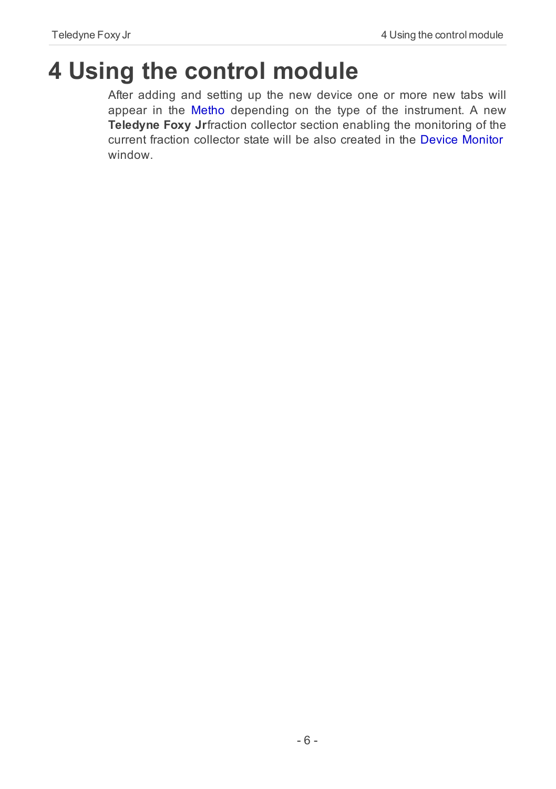# <span id="page-9-0"></span>**4 Using the control module**

After adding and setting up the new device one or more new tabs will appear in the [Metho](ms-its:Clarity.chm::/Help/020-instrument/020.040-method/020.040-method.htm) depending on the type of the instrument. A new **Teledyne Foxy Jr**fraction collector section enabling the monitoring of the current fraction collector state will be also created in the Device [Monitor](#page-18-0) window.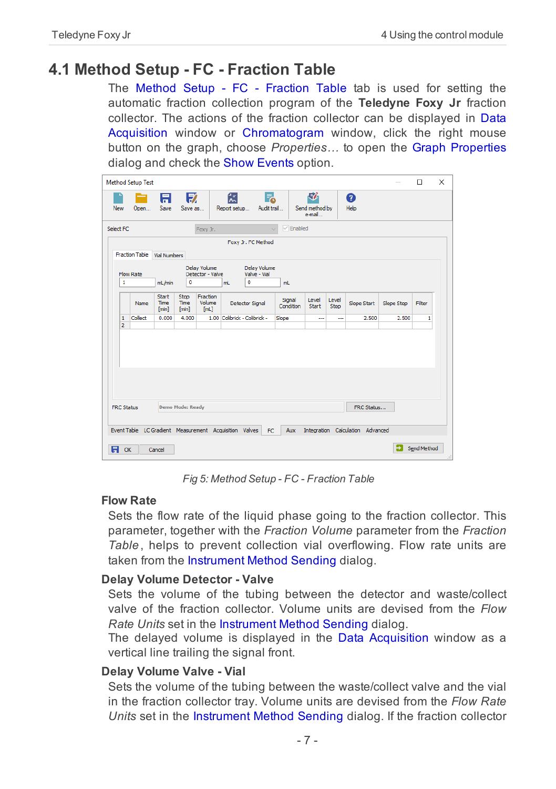### <span id="page-10-0"></span>**4.1 Method Setup - FC - Fraction Table**

The Method Setup - FC - Fraction Table tab is used for setting the automatic fraction collection program of the **Teledyne Foxy Jr** fraction collector. The actions of the fraction collector can be displayed in [Data](ms-its:Clarity.chm::/Help/050-data-acquisition/050.000-data-acquisition/050-data-acquisition.htm) [Acquisition](ms-its:Clarity.chm::/Help/050-data-acquisition/050.000-data-acquisition/050-data-acquisition.htm) window or [Chromatogram](ms-its:Clarity.chm::/Help/030-chromatogram/030.000-chromatogram/030-chromatogram.htm) window, click the right mouse button on the graph, choose *Properties…* to open the Graph [Properties](ms-its:[%25=oem.Clarity.chm%25]::/Help/050-data-acquisition/050.030-display/050.030-properties.htm) dialog and check the Show Events option.

|     |                                                            | <b>Method Setup Test</b>                               |                        |                       |                                  |                              |                                              |                     |                               |                      |                                  |            | $\Box$      | $\times$ |
|-----|------------------------------------------------------------|--------------------------------------------------------|------------------------|-----------------------|----------------------------------|------------------------------|----------------------------------------------|---------------------|-------------------------------|----------------------|----------------------------------|------------|-------------|----------|
| New |                                                            | Open                                                   | 日<br>Save              | 鳦<br>Save as          |                                  | 忥<br>Report setup            | Г.<br>Audit trail                            |                     | 尉<br>Send method by<br>e-mail |                      | ❼<br>Help                        |            |             |          |
|     | $\sqrt{\frac{1}{2}}$ Enabled<br>Select FC<br>Foxy Jr.      |                                                        |                        |                       |                                  |                              |                                              |                     |                               |                      |                                  |            |             |          |
|     |                                                            | <b>Fraction Table</b>                                  | <b>Vial Numbers</b>    |                       |                                  |                              | Foxy Jr. FC Method                           |                     |                               |                      |                                  |            |             |          |
|     | 1                                                          | <b>Flow Rate</b>                                       | mL/min                 | $\mathbf{0}$          | Delay Volume<br>Detector - Valve | mL                           | Delay Volume<br>Valve - Vial<br>$\mathbf{0}$ | mL                  |                               |                      |                                  |            |             |          |
|     |                                                            | Name                                                   | Start<br>Time<br>[min] | Stop<br>Time<br>[min] | Fraction<br>Volume<br>[mL]       |                              | <b>Detector Signal</b>                       | Signal<br>Condition | Level<br><b>Start</b>         | Level<br><b>Stop</b> | <b>Slope Start</b>               | Slope Stop | Filter      |          |
|     | 1<br>$\overline{2}$                                        | Collect                                                | 0.000                  | 4.000                 |                                  | 1.00 Colibrick - Colibrick - |                                              | Slope               | ---                           | ш,                   | 2.500                            | 2.500      | 1           |          |
|     | <b>Demo Mode: Ready</b><br>FRC Status<br><b>FRC Status</b> |                                                        |                        |                       |                                  |                              |                                              |                     |                               |                      |                                  |            |             |          |
|     |                                                            |                                                        |                        |                       |                                  |                              |                                              |                     |                               |                      |                                  |            |             |          |
|     |                                                            | Event Table LC Gradient Measurement Acquisition Valves |                        |                       |                                  |                              | <b>FC</b>                                    | <b>Aux</b>          |                               |                      | Integration Calculation Advanced |            |             |          |
| A   | OK                                                         |                                                        | Cancel                 |                       |                                  |                              |                                              |                     |                               |                      |                                  | э          | Send Method |          |

*Fig 5: Method Setup - FC - Fraction Table*

#### **Flow Rate**

Sets the flow rate of the liquid phase going to the fraction collector. This parameter, together with the *Fraction Volume* parameter from the *Fraction Table*, helps to prevent collection vial overflowing. Flow rate units are taken from the [Instrument](ms-its:[%25=oem.Clarity.chm%25]::/Help/010-clarity/010.010-clarity/010.010-system-configuration-right.htm) Method Sending dialog.

#### **Delay Volume Detector - Valve**

Sets the volume of the tubing between the detector and waste/collect valve of the fraction collector. Volume units are devised from the *Flow Rate Units* set in the [Instrument](ms-its:[%25=oem.Clarity.chm%25]::/Help/010-clarity/010.010-clarity/010.010-system-configuration-right.htm) Method Sending dialog.

The delayed volume is displayed in the Data [Acquisition](#page-19-0) window as a vertical line trailing the signal front.

#### **Delay Volume Valve - Vial**

Sets the volume of the tubing between the waste/collect valve and the vial in the fraction collector tray. Volume units are devised from the *Flow Rate Units* set in the [Instrument](ms-its:[%25=oem.Clarity.chm%25]::/Help/010-clarity/010.010-clarity/010.010-system-configuration-right.htm) Method Sending dialog. If the fraction collector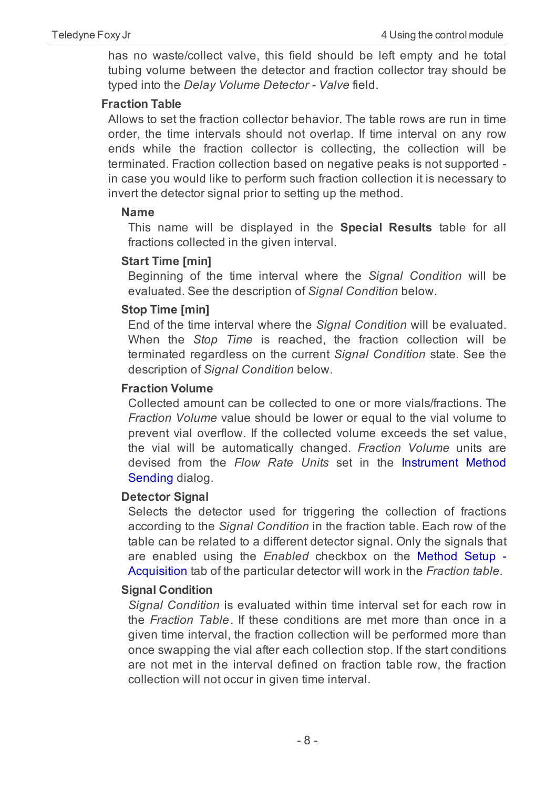has no waste/collect valve, this field should be left empty and he total tubing volume between the detector and fraction collector tray should be typed into the *Delay Volume Detector - Valve* field.

#### **Fraction Table**

Allows to set the fraction collector behavior. The table rows are run in time order, the time intervals should not overlap. If time interval on any row ends while the fraction collector is collecting, the collection will be terminated. Fraction collection based on negative peaks is not supported in case you would like to perform such fraction collection it is necessary to invert the detector signal prior to setting up the method.

#### **Name**

This name will be displayed in the **Special Results** table for all fractions collected in the given interval.

#### **Start Time [min]**

Beginning of the time interval where the *Signal Condition* will be evaluated. See the description of *Signal Condition* below.

#### **Stop Time [min]**

End of the time interval where the *Signal Condition* will be evaluated. When the *Stop Time* is reached, the fraction collection will be terminated regardless on the current *Signal Condition* state. See the description of *Signal Condition* below.

#### **Fraction Volume**

Collected amount can be collected to one or more vials/fractions. The *Fraction Volume* value should be lower or equal to the vial volume to prevent vial overflow. If the collected volume exceeds the set value, the vial will be automatically changed. *Fraction Volume* units are devised from the *Flow Rate Units* set in the [Instrument](ms-its:[%25=oem.Clarity.chm%25]::/Help/010-clarity/010.010-clarity/010.010-system-configuration-right.htm) Method [Sending](ms-its:[%25=oem.Clarity.chm%25]::/Help/010-clarity/010.010-clarity/010.010-system-configuration-right.htm) dialog.

#### **Detector Signal**

Selects the detector used for triggering the collection of fractions according to the *Signal Condition* in the fraction table. Each row of the table can be related to a different detector signal. Only the signals that are enabled using the *Enabled* checkbox on the [Method](ms-its:[%25=oem.Clarity.chm%25]::/Help//020-instrument/020.040-method/020.040-acquisition.htm) Setup - [Acquisition](ms-its:[%25=oem.Clarity.chm%25]::/Help//020-instrument/020.040-method/020.040-acquisition.htm) tab of the particular detector will work in the *Fraction table*.

#### **Signal Condition**

*Signal Condition* is evaluated within time interval set for each row in the *Fraction Table*. If these conditions are met more than once in a given time interval, the fraction collection will be performed more than once swapping the vial after each collection stop. If the start conditions are not met in the interval defined on fraction table row, the fraction collection will not occur in given time interval.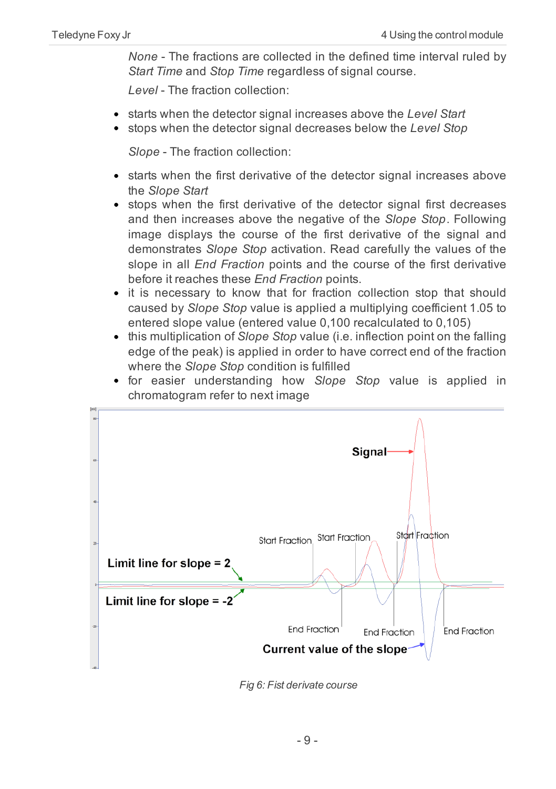*None* - The fractions are collected in the defined time interval ruled by *Start Time* and *Stop Time* regardless of signal course.

*Level* - The fraction collection:

- starts when the detector signal increases above the *Level Start*
- stops when the detector signal decreases below the *Level Stop*

*Slope* - The fraction collection:

- starts when the first derivative of the detector signal increases above the *Slope Start*
- stops when the first derivative of the detector signal first decreases and then increases above the negative of the *Slope Stop*. Following image displays the course of the first derivative of the signal and demonstrates *Slope Stop* activation. Read carefully the values of the slope in all *End Fraction* points and the course of the first derivative before it reaches these *End Fraction* points.
- it is necessary to know that for fraction collection stop that should caused by *Slope Stop* value is applied a multiplying coefficient 1.05 to entered slope value (entered value 0,100 recalculated to 0,105)
- this multiplication of *Slope Stop* value (i.e. inflection point on the falling edge of the peak) is applied in order to have correct end of the fraction where the *Slope Stop* condition is fulfilled
- for easier understanding how *Slope Stop* value is applied in chromatogram refer to next image



*Fig 6: Fist derivate course*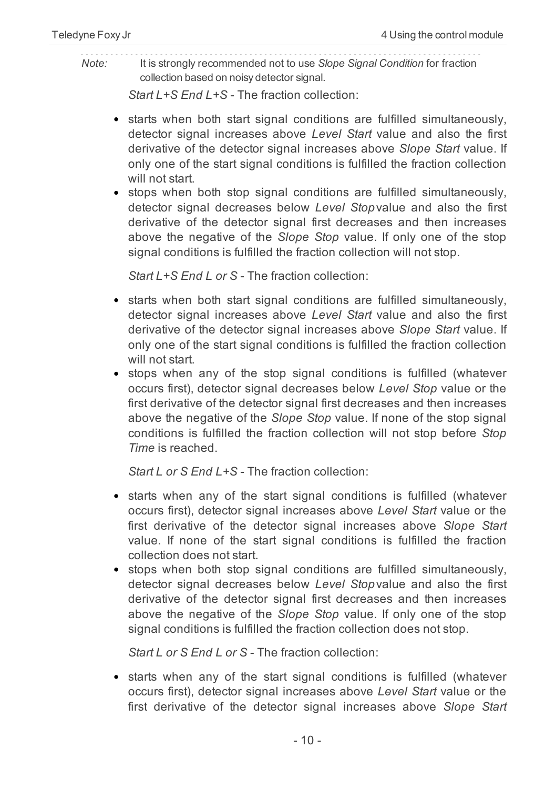#### *Note:* It is strongly recommended not to use *Slope Signal Condition* for fraction collection based on noisy detector signal.

*Start L+S End L+S* - The fraction collection:

- starts when both start signal conditions are fulfilled simultaneously, detector signal increases above *Level Start* value and also the first derivative of the detector signal increases above *Slope Start* value. If only one of the start signal conditions is fulfilled the fraction collection will not start.
- stops when both stop signal conditions are fulfilled simultaneously, detector signal decreases below *Level Stop*value and also the first derivative of the detector signal first decreases and then increases above the negative of the *Slope Stop* value. If only one of the stop signal conditions is fulfilled the fraction collection will not stop.

*Start L+S End L or S* - The fraction collection:

- starts when both start signal conditions are fulfilled simultaneously, detector signal increases above *Level Start* value and also the first derivative of the detector signal increases above *Slope Start* value. If only one of the start signal conditions is fulfilled the fraction collection will not start.
- stops when any of the stop signal conditions is fulfilled (whatever occurs first), detector signal decreases below *Level Stop* value or the first derivative of the detector signal first decreases and then increases above the negative of the *Slope Stop* value. If none of the stop signal conditions is fulfilled the fraction collection will not stop before *Stop Time* is reached.

*Start L or S End L+S* - The fraction collection:

- starts when any of the start signal conditions is fulfilled (whatever occurs first), detector signal increases above *Level Start* value or the first derivative of the detector signal increases above *Slope Start* value. If none of the start signal conditions is fulfilled the fraction collection does not start.
- stops when both stop signal conditions are fulfilled simultaneously, detector signal decreases below *Level Stop*value and also the first derivative of the detector signal first decreases and then increases above the negative of the *Slope Stop* value. If only one of the stop signal conditions is fulfilled the fraction collection does not stop.

*Start L or S End L or S* - The fraction collection:

• starts when any of the start signal conditions is fulfilled (whatever occurs first), detector signal increases above *Level Start* value or the first derivative of the detector signal increases above *Slope Start*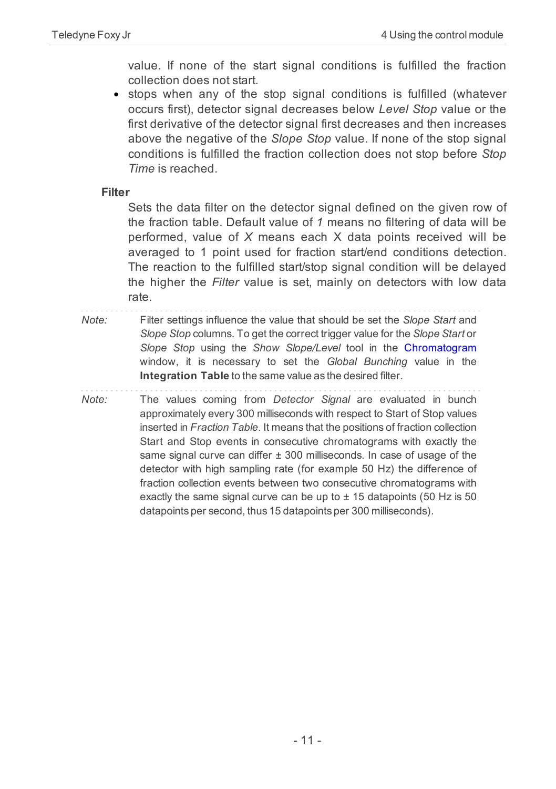value. If none of the start signal conditions is fulfilled the fraction collection does not start.

stops when any of the stop signal conditions is fulfilled (whatever occurs first), detector signal decreases below *Level Stop* value or the first derivative of the detector signal first decreases and then increases above the negative of the *Slope Stop* value. If none of the stop signal conditions is fulfilled the fraction collection does not stop before *Stop Time* is reached.

**Filter**

Sets the data filter on the detector signal defined on the given row of the fraction table. Default value of *1* means no filtering of data will be performed, value of *X* means each X data points received will be averaged to 1 point used for fraction start/end conditions detection. The reaction to the fulfilled start/stop signal condition will be delayed the higher the *Filter* value is set, mainly on detectors with low data rate.

- *Note:* Filter settings influence the value that should be set the *Slope Start* and *Slope Stop* columns. To get the correct trigger value for the *Slope Start* or *Slope Stop* using the *Show Slope/Level* tool in the [Chromatogram](ms-its:Clarity.chm::/Help/030-chromatogram/030.000-chromatogram/030-chromatogram.htm) window, it is necessary to set the *Global Bunching* value in the **Integration Table** to the same value as the desired filter.
- *Note:* The values coming from *Detector Signal* are evaluated in bunch approximately every 300 milliseconds with respect to Start of Stop values inserted in *Fraction Table*. It means that the positions of fraction collection Start and Stop events in consecutive chromatograms with exactly the same signal curve can differ  $\pm$  300 milliseconds. In case of usage of the detector with high sampling rate (for example 50 Hz) the difference of fraction collection events between two consecutive chromatograms with exactly the same signal curve can be up to  $\pm$  15 datapoints (50 Hz is 50 datapoints per second, thus 15 datapoints per 300 milliseconds).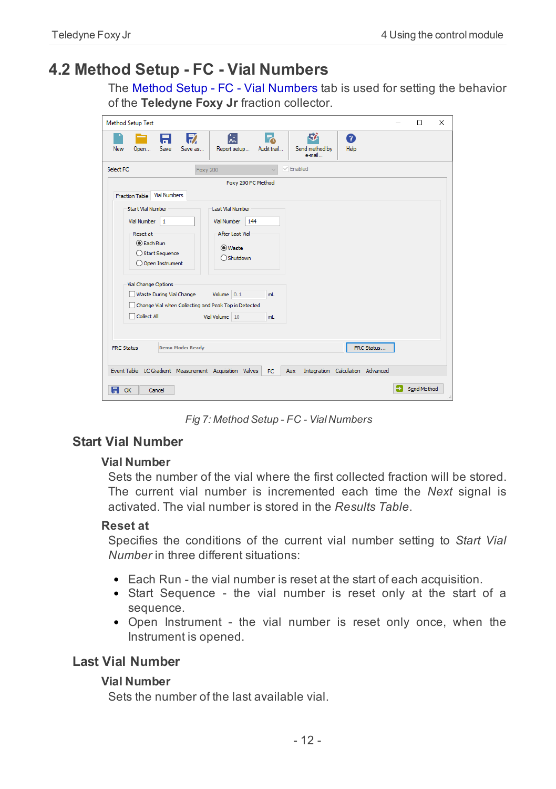### <span id="page-15-0"></span>**4.2 Method Setup - FC - Vial Numbers**

The Method Setup - FC - Vial Numbers tab is used for setting the behavior of the **Teledyne Foxy Jr** fraction collector.

| <b>Method Setup Test</b>                               |                                        |                                            | $\Box$<br>$\times$ |
|--------------------------------------------------------|----------------------------------------|--------------------------------------------|--------------------|
| $\mathbb{E}$<br>A.<br>Save<br>Save as<br>New<br>Open   | 忥<br>F.<br>Report setup<br>Audit trail | 尉<br>ℯ<br>Send method by<br>Help<br>e-mail |                    |
| Select FC<br><b>Foxy 200</b>                           | $\ddot{\phantom{0}}$                   | $\sqrt{\frac{1}{2}}$ Enabled               |                    |
|                                                        | Foxy 200 FC Method                     |                                            |                    |
| Fraction Table Vial Numbers                            |                                        |                                            |                    |
| <b>Start Vial Number</b>                               | Last Vial Number                       |                                            |                    |
| Vial Number<br>1                                       | <b>Vial Number</b><br>144              |                                            |                    |
| Reset at:                                              | <b>After Last Vial</b>                 |                                            |                    |
| <b>O</b> Each Run                                      | (O) Waste                              |                                            |                    |
| ◯ Start Sequence<br>O Open Instrument                  | ○ Shutdown                             |                                            |                    |
|                                                        |                                        |                                            |                    |
| Vial Change Options                                    |                                        |                                            |                    |
| Waste During Vial Change                               | Volume $0.1$<br>mL.                    |                                            |                    |
| Change Vial when Collecting and Peak Top is Detected   |                                        |                                            |                    |
| Collect All                                            | Vial Volume 10<br>ml                   |                                            |                    |
|                                                        |                                        |                                            |                    |
| <b>Demo Mode: Ready</b><br><b>FRC Status</b>           |                                        |                                            | FRC Status         |
|                                                        |                                        |                                            |                    |
| Event Table LC Gradient Measurement Acquisition Valves | Aux<br>FC.                             | Integration Calculation Advanced           |                    |
|                                                        |                                        |                                            | Send Method        |
| A<br>OK<br>Cancel                                      |                                        |                                            | $\ddot{x}$         |

*Fig 7: Method Setup - FC - Vial Numbers*

#### **Start Vial Number**

#### **Vial Number**

Sets the number of the vial where the first collected fraction will be stored. The current vial number is incremented each time the *Next* signal is activated. The vial number is stored in the *Results Table*.

#### **Reset at**

Specifies the conditions of the current vial number setting to *Start Vial Number* in three different situations:

- Each Run the vial number is reset at the start of each acquisition.
- Start Sequence the vial number is reset only at the start of a sequence.
- Open Instrument the vial number is reset only once, when the Instrument is opened.

#### **Last Vial Number**

#### **Vial Number**

Sets the number of the last available vial.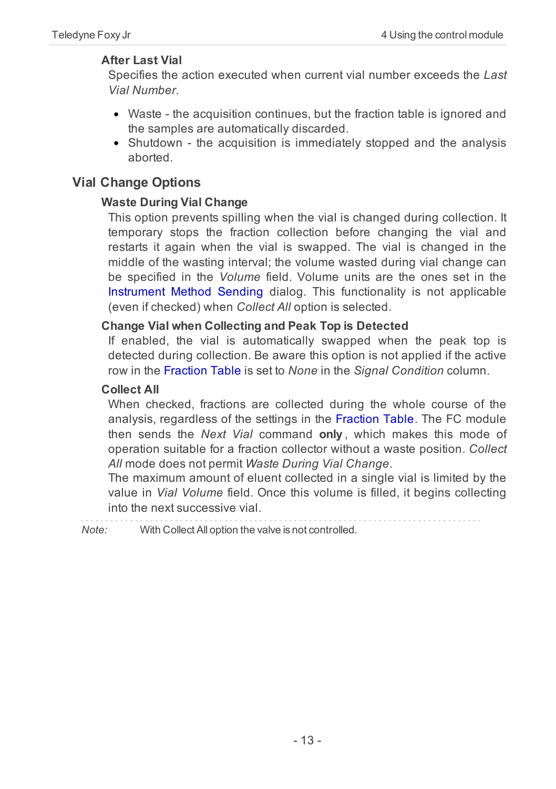#### **After Last Vial**

Specifies the action executed when current vial number exceeds the *Last Vial Number*.

- Waste the acquisition continues, but the fraction table is ignored and the samples are automatically discarded.
- Shutdown the acquisition is immediately stopped and the analysis aborted.

#### **Vial Change Options**

#### **Waste During Vial Change**

This option prevents spilling when the vial is changed during collection. It temporary stops the fraction collection before changing the vial and restarts it again when the vial is swapped. The vial is changed in the middle of the wasting interval; the volume wasted during vial change can be specified in the *Volume* field. Volume units are the ones set in the [Instrument](ms-its:[%25=oem.Clarity.chm%25]::/Help/010-clarity/010.010-clarity/010.010-system-configuration-right.htm) Method Sending dialog. This functionality is not applicable (even if checked) when *Collect All* option is selected.

#### **Change Vial when Collecting and Peak Top is Detected**

If enabled, the vial is automatically swapped when the peak top is detected during collection. Be aware this option is not applied if the active row in the Fraction Table is set to *None* in the *Signal Condition* column.

#### **Collect All**

When checked, fractions are collected during the whole course of the analysis, regardless of the settings in the Fraction Table. The FC module then sends the *Next Vial* command **only** , which makes this mode of operation suitable for a fraction collector without a waste position. *Collect All* mode does not permit *Waste During Vial Change*.

The maximum amount of eluent collected in a single vial is limited by the value in *Vial Volume* field. Once this volume is filled, it begins collecting into the next successive vial.

*Note:* With Collect All option the valve is not controlled.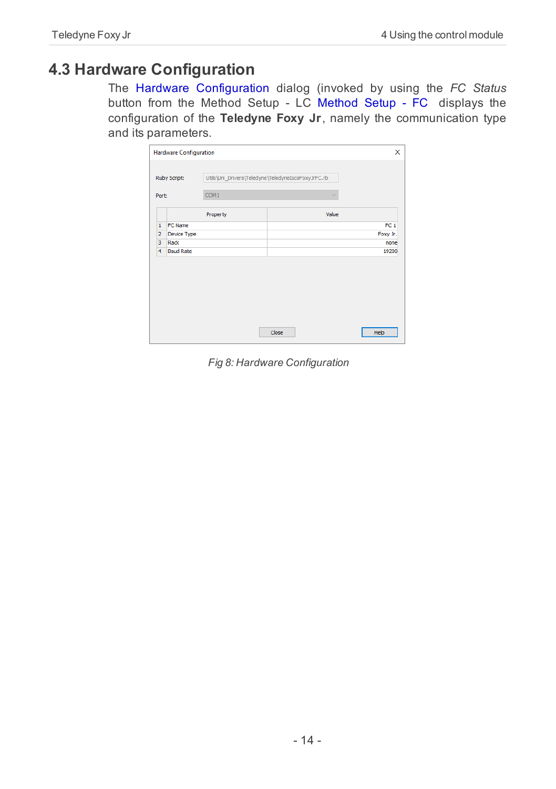### <span id="page-17-0"></span>**4.3 Hardware Configuration**

The Hardware Configuration dialog (invoked by using the *FC Status* button from the Method Setup - LC [Method](#page-10-0) Setup - FC displays the configuration of the **Teledyne Foxy Jr**, namely the communication type and its parameters.

|                | <b>Hardware Configuration</b> |                                                    | $\times$        |
|----------------|-------------------------------|----------------------------------------------------|-----------------|
|                | Ruby Script:                  | Utils\Uni_Drivers\Teledyne\TeledyneIscoFoxyJrFC.rb |                 |
| Port:          |                               | COM <sub>1</sub>                                   | $\ddot{}$       |
|                |                               | Property                                           | Value           |
| $\mathbf{1}$   | <b>FC Name</b>                |                                                    | FC <sub>1</sub> |
| $\overline{2}$ | Device Type                   |                                                    | Foxy Jr.        |
| 3              | Rack                          |                                                    | none            |
| 4              | <b>Baud Rate</b>              |                                                    | 19200           |
|                |                               |                                                    |                 |
|                |                               |                                                    | Close<br>Help   |

*Fig 8: Hardware Configuration*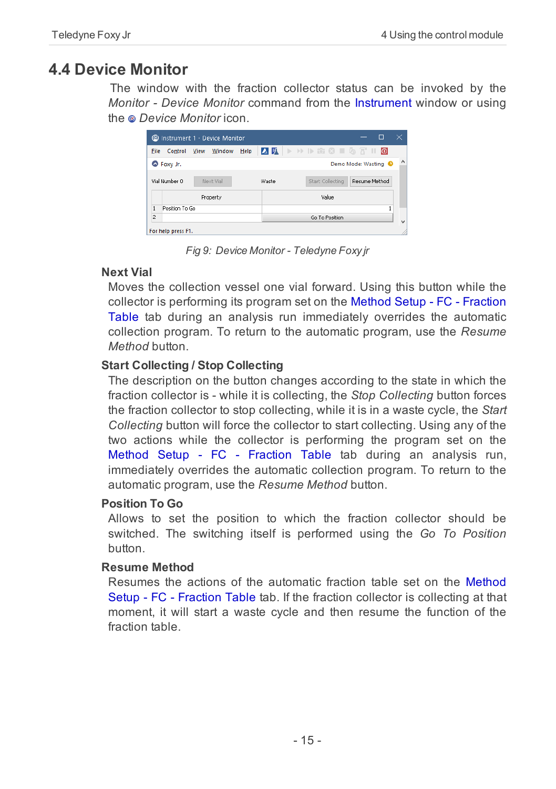## <span id="page-18-0"></span>**4.4 Device Monitor**

The window with the fraction collector status can be invoked by the *Monitor - Device Monitor* command from the [Instrument](ms-its:Clarity.chm::/Help/020-instrument/020.000-instrument/020-instrument.htm) window or using the *Device Monitor* icon.

|                | C Instrument 1 - Device Monitor |      |           |      |                     |  |                  |                                 | п             | ×                        |
|----------------|---------------------------------|------|-----------|------|---------------------|--|------------------|---------------------------------|---------------|--------------------------|
| File           | Control                         | View | Window    | Help | <b>AFIADEOIGTIO</b> |  |                  |                                 |               |                          |
|                | Foxy Jr.                        |      |           |      |                     |  |                  | Demo Mode: Wasting <sup>O</sup> |               | ^                        |
|                | Vial Number 0                   |      | Next Vial |      | Waste               |  | Start Collecting |                                 | Resume Method |                          |
|                |                                 |      | Property  |      |                     |  | Value            |                                 |               |                          |
| $\mathbf{1}$   | Position To Go                  |      |           |      |                     |  |                  |                                 |               | 1                        |
| $\overline{2}$ |                                 |      |           |      |                     |  | Go To Position   |                                 |               | $\overline{\phantom{a}}$ |
|                | For help press F1.              |      |           |      |                     |  |                  |                                 |               |                          |

*Fig 9: Device Monitor - Teledyne Foxy jr*

#### **Next Vial**

Moves the collection vessel one vial forward. Using this button while the collector is performing its program set on the Method Setup - FC - [Fraction](#page-10-0) [Table](#page-10-0) tab during an analysis run immediately overrides the automatic collection program. To return to the automatic program, use the *Resume Method* button.

#### **Start Collecting / Stop Collecting**

The description on the button changes according to the state in which the fraction collector is - while it is collecting, the *Stop Collecting* button forces the fraction collector to stop collecting, while it is in a waste cycle, the *Start Collecting* button will force the collector to start collecting. Using any of the two actions while the collector is performing the program set on the Method Setup - FC - [Fraction](#page-10-0) Table tab during an analysis run, immediately overrides the automatic collection program. To return to the automatic program, use the *Resume Method* button.

#### **Position To Go**

Allows to set the position to which the fraction collector should be switched. The switching itself is performed using the *Go To Position* button.

#### **Resume Method**

Resumes the actions of the automatic fraction table set on the [Method](#page-10-0) Setup - FC - [Fraction](#page-10-0) Table tab. If the fraction collector is collecting at that moment, it will start a waste cycle and then resume the function of the fraction table.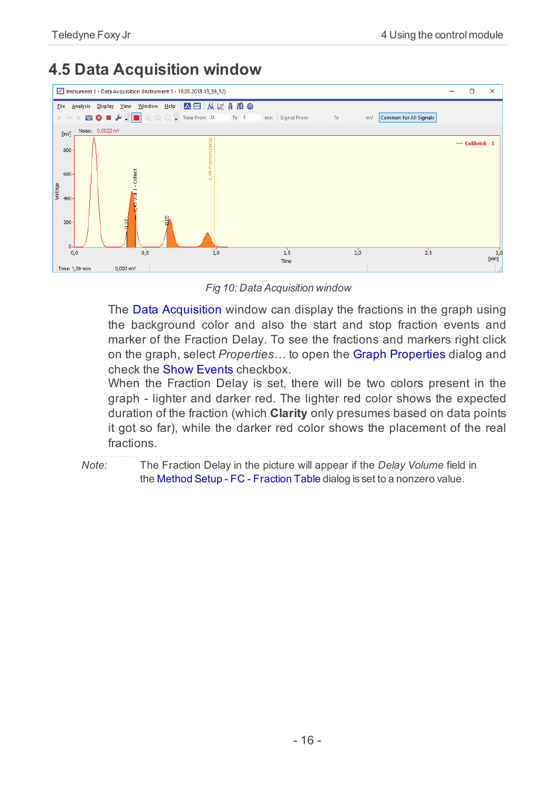## <span id="page-19-0"></span>**4.5 Data Acquisition window**



*Fig 10: Data Acquisition window*

The Data [Acquisition](ms-its:Clarity.chm::/Help/050-data-acquisition/050.000-data-acquisition/050-data-acquisition.htm) window can display the fractions in the graph using the background color and also the start and stop fraction events and marker of the Fraction Delay. To see the fractions and markers right click on the graph, select *Properties…* to open the Graph [Properties](ms-its:[%25=oem.Clarity.chm%25]::/Help/050-data-acquisition/050.030-display/050.030-properties.htm) dialog and check the Show Events checkbox.

When the Fraction Delay is set, there will be two colors present in the graph - lighter and darker red. The lighter red color shows the expected duration of the fraction (which **Clarity** only presumes based on data points it got so far), while the darker red color shows the placement of the real fractions.

*Note:* The Fraction Delay in the picture will appear if the *Delay Volume* field in

the Method Setup - FC - [Fraction](#page-10-0) Table dialog is set to a nonzero value.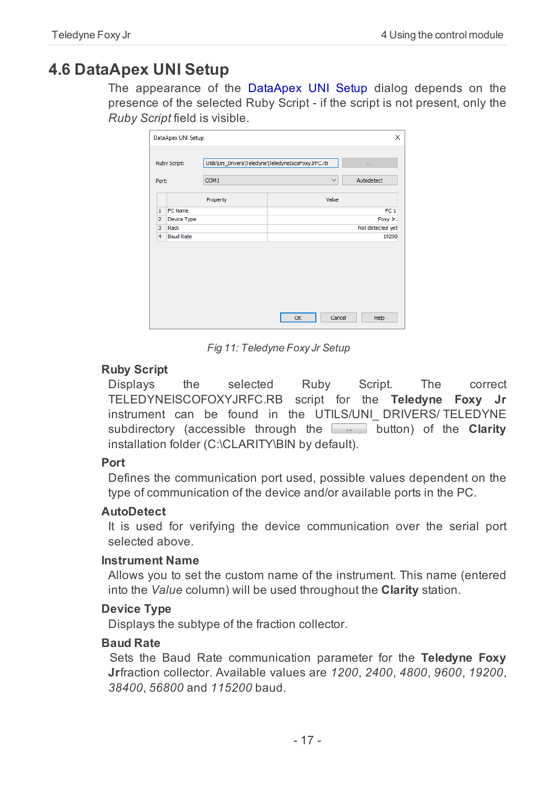## <span id="page-20-0"></span>**4.6 DataApex UNI Setup**

The appearance of the DataApex UNI Setup dialog depends on the presence of the selected Ruby Script - if the script is not present, only the *Ruby Script* field is visible.

| Ruby Script:                   |          | Utils\Uni_Drivers\Teledyne\TeledyneIscoFoxyJrFC.rb | $\sim 100$       |
|--------------------------------|----------|----------------------------------------------------|------------------|
| Port:                          | COM1     | $\checkmark$                                       | Autodetect       |
|                                | Property | Value                                              |                  |
| <b>FC Name</b><br>$\mathbf{1}$ |          |                                                    | FC <sub>1</sub>  |
| $\overline{2}$<br>Device Type  |          |                                                    | Foxy Jr.         |
| 3<br>Rack                      |          |                                                    | Not detected yet |
| 4<br><b>Baud Rate</b>          |          |                                                    | 19200            |
|                                |          |                                                    |                  |

*Fig 11: Teledyne Foxy Jr Setup*

#### **Ruby Script**

Displays the selected Ruby Script. The correct TELEDYNEISCOFOXYJRFC.RB script for the **Teledyne Foxy Jr** instrument can be found in the UTILS/UNI DRIVERS/ TELEDYNE subdirectory (accessible through the **button**) of the **Clarity** installation folder (C:\CLARITY\BIN by default).

#### **Port**

Defines the communication port used, possible values dependent on the type of communication of the device and/or available ports in the PC.

#### **AutoDetect**

It is used for verifying the device communication over the serial port selected above.

#### **Instrument Name**

Allows you to set the custom name of the instrument. This name (entered into the *Value* column) will be used throughout the **Clarity** station.

#### **Device Type**

Displays the subtype of the fraction collector.

#### **Baud Rate**

Sets the Baud Rate communication parameter for the **Teledyne Foxy Jr**fraction collector. Available values are *1200*, *2400*, *4800*, *9600*, *19200*, *38400*, *56800* and *115200* baud.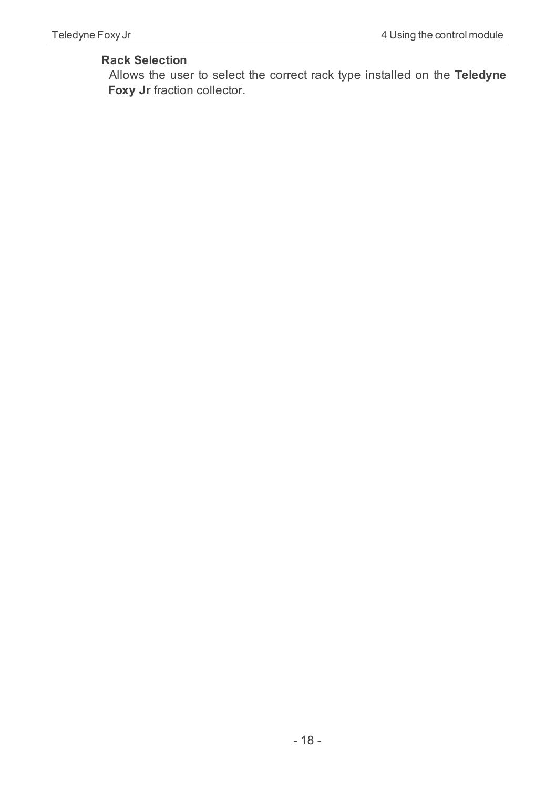#### **Rack Selection**

Allows the user to select the correct rack type installed on the **Teledyne Foxy Jr** fraction collector.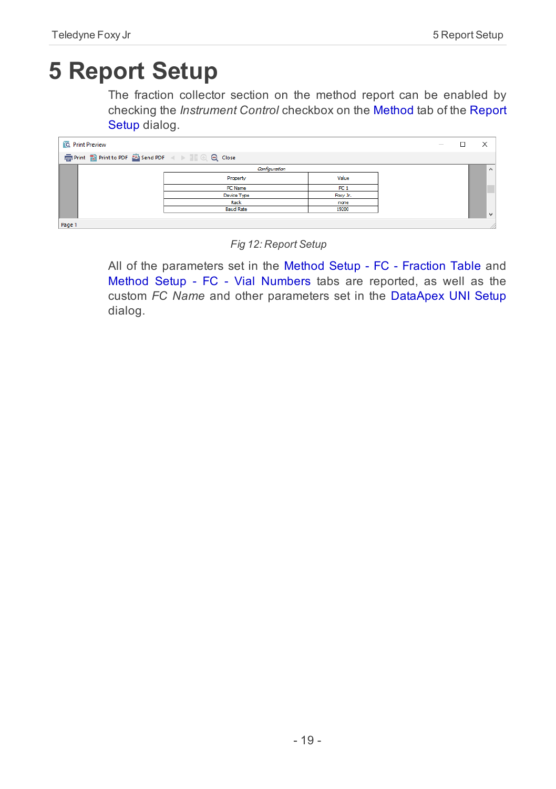# <span id="page-22-0"></span>**5 Report Setup**

The fraction collector section on the method report can be enabled by checking the *Instrument Control* checkbox on the [Method](ms-its:Clarity.chm::/Help/080-report-setup/080.000-report-setup/080-method.htm) tab of the [Report](ms-its:Clarity.chm::/Help/080-report-setup/080.000-report-setup/080-report-setup.htm) [Setup](ms-its:Clarity.chm::/Help/080-report-setup/080.000-report-setup/080-report-setup.htm) dialog.

| <b>Q</b> Print Preview |                  |                 | $\sim$ | ×        |
|------------------------|------------------|-----------------|--------|----------|
|                        |                  |                 |        |          |
|                        | Configuration    |                 |        | $\wedge$ |
|                        | Property         | Value           |        |          |
|                        | FC Name          | FC <sub>1</sub> |        | ٠        |
|                        | Device Type      | Facy Jr.        |        |          |
|                        | Rack             | none            |        |          |
|                        | <b>Baud Rate</b> | 19200           |        |          |
|                        |                  |                 |        | ∣∨       |
| Page 1                 |                  |                 |        |          |

*Fig 12: Report Setup*

All of the parameters set in the Method Setup - FC - [Fraction](#page-10-0) Table and Method Setup - FC - Vial [Numbers](#page-15-0) tabs are reported, as well as the custom *FC Name* and other parameters set in the [DataApex](#page-20-0) UNI Setup dialog.